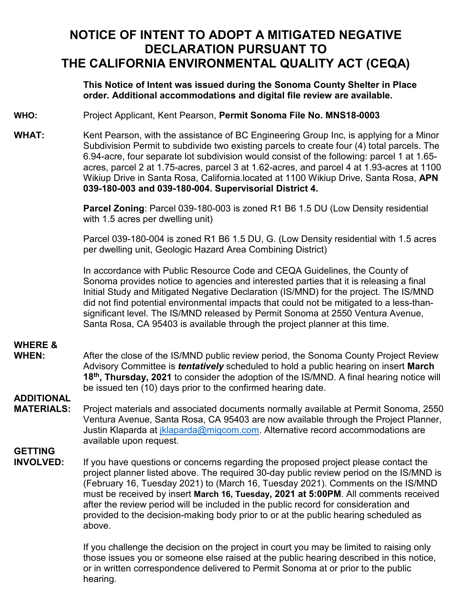### **NOTICE OF INTENT TO ADOPT A MITIGATED NEGATIVE DECLARATION PURSUANT TO THE CALIFORNIA ENVIRONMENTAL QUALITY ACT (CEQA)**

#### **order. Additional accommodations and digital file review are available. This Notice of Intent was issued during the Sonoma County Shelter in Place**

#### **WHO:** Project Applicant, Kent Pearson, **Permit Sonoma File No. MNS18-0003**

WHAT: Kent Pearson, with the assistance of BC Engineering Group Inc, is applying for a Minor Subdivision Permit to subdivide two existing parcels to create four (4) total parcels. The 6.94-acre, four separate lot subdivision would consist of the following: parcel 1 at 1.65 acres, parcel 2 at 1.75-acres, parcel 3 at 1.62-acres, and parcel 4 at 1.93-acres at 1100 Wikiup Drive in Santa Rosa, California.located at 1100 Wikiup Drive, Santa Rosa, **APN 039-180-003 and 039-180-004. Supervisorial District 4.** 

> **Parcel Zoning**: Parcel 039-180-003 is zoned R1 B6 1.5 DU (Low Density residential with 1.5 acres per dwelling unit)

Parcel 039-180-004 is zoned R1 B6 1.5 DU, G. (Low Density residential with 1.5 acres per dwelling unit, Geologic Hazard Area Combining District)

In accordance with Public Resource Code and CEQA Guidelines, the County of Sonoma provides notice to agencies and interested parties that it is releasing a final Initial Study and Mitigated Negative Declaration (IS/MND) for the project. The IS/MND did not find potential environmental impacts that could not be mitigated to a less-thansignificant level. The IS/MND released by Permit Sonoma at 2550 Ventura Avenue, Santa Rosa, CA 95403 is available through the project planner at this time.

# **WHERE &**

 **18th, Thursday, 2021** to consider the adoption of the IS/MND. A final hearing notice will After the close of the IS/MND public review period, the Sonoma County Project Review Advisory Committee is *tentatively* scheduled to hold a public hearing on insert **March**  be issued ten (10) days prior to the confirmed hearing date.

### **ADDITIONAL**

Project materials and associated documents normally available at Permit Sonoma, 2550 Ventura Avenue, Santa Rosa, CA 95403 are now available through the Project Planner, Justin Klaparda at *iklaparda@migcom.com.* Alternative record accommodations are available upon request.

# **GETTING<br>INVOLVED:**

 project planner listed above. The required 30-day public review period on the IS/MND is  must be received by insert **March 16, Tuesday, 2021 at 5:00PM**. All comments received If you have questions or concerns regarding the proposed project please contact the (February 16, Tuesday 2021) to (March 16, Tuesday 2021). Comments on the IS/MND after the review period will be included in the public record for consideration and provided to the decision-making body prior to or at the public hearing scheduled as above.

> or in written correspondence delivered to Permit Sonoma at or prior to the public If you challenge the decision on the project in court you may be limited to raising only those issues you or someone else raised at the public hearing described in this notice, hearing.